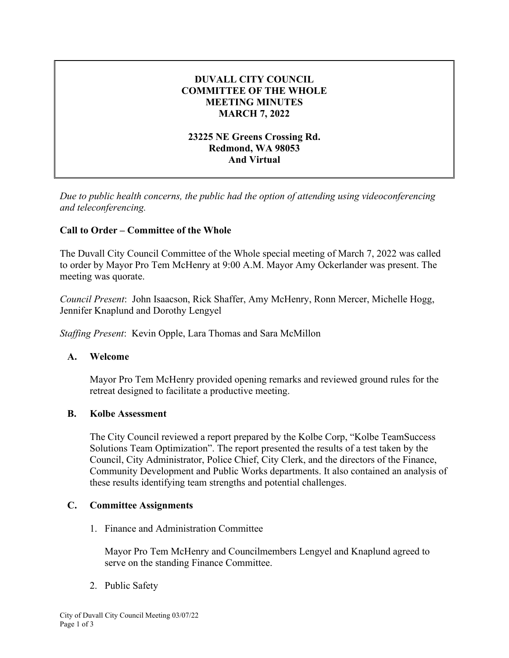# **DUVALL CITY COUNCIL COMMITTEE OF THE WHOLE MEETING MINUTES MARCH 7, 2022**

### **23225 NE Greens Crossing Rd. Redmond, WA 98053 And Virtual**

*Due to public health concerns, the public had the option of attending using videoconferencing and teleconferencing.*

# **Call to Order – Committee of the Whole**

The Duvall City Council Committee of the Whole special meeting of March 7, 2022 was called to order by Mayor Pro Tem McHenry at 9:00 A.M. Mayor Amy Ockerlander was present. The meeting was quorate.

*Council Present*: John Isaacson, Rick Shaffer, Amy McHenry, Ronn Mercer, Michelle Hogg, Jennifer Knaplund and Dorothy Lengyel

*Staffing Present*: Kevin Opple, Lara Thomas and Sara McMillon

#### **A. Welcome**

Mayor Pro Tem McHenry provided opening remarks and reviewed ground rules for the retreat designed to facilitate a productive meeting.

#### **B. Kolbe Assessment**

The City Council reviewed a report prepared by the Kolbe Corp, "Kolbe TeamSuccess Solutions Team Optimization". The report presented the results of a test taken by the Council, City Administrator, Police Chief, City Clerk, and the directors of the Finance, Community Development and Public Works departments. It also contained an analysis of these results identifying team strengths and potential challenges.

#### **C. Committee Assignments**

1. Finance and Administration Committee

Mayor Pro Tem McHenry and Councilmembers Lengyel and Knaplund agreed to serve on the standing Finance Committee.

2. Public Safety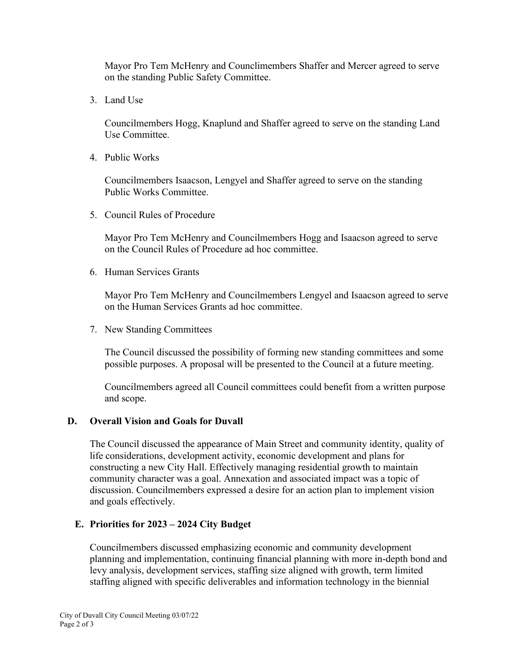Mayor Pro Tem McHenry and Counclimembers Shaffer and Mercer agreed to serve on the standing Public Safety Committee.

3. Land Use

Councilmembers Hogg, Knaplund and Shaffer agreed to serve on the standing Land Use Committee.

4. Public Works

Councilmembers Isaacson, Lengyel and Shaffer agreed to serve on the standing Public Works Committee.

5. Council Rules of Procedure

Mayor Pro Tem McHenry and Councilmembers Hogg and Isaacson agreed to serve on the Council Rules of Procedure ad hoc committee.

6. Human Services Grants

Mayor Pro Tem McHenry and Councilmembers Lengyel and Isaacson agreed to serve on the Human Services Grants ad hoc committee.

7. New Standing Committees

The Council discussed the possibility of forming new standing committees and some possible purposes. A proposal will be presented to the Council at a future meeting.

Councilmembers agreed all Council committees could benefit from a written purpose and scope.

# **D. Overall Vision and Goals for Duvall**

The Council discussed the appearance of Main Street and community identity, quality of life considerations, development activity, economic development and plans for constructing a new City Hall. Effectively managing residential growth to maintain community character was a goal. Annexation and associated impact was a topic of discussion. Councilmembers expressed a desire for an action plan to implement vision and goals effectively.

# **E. Priorities for 2023 – 2024 City Budget**

Councilmembers discussed emphasizing economic and community development planning and implementation, continuing financial planning with more in-depth bond and levy analysis, development services, staffing size aligned with growth, term limited staffing aligned with specific deliverables and information technology in the biennial